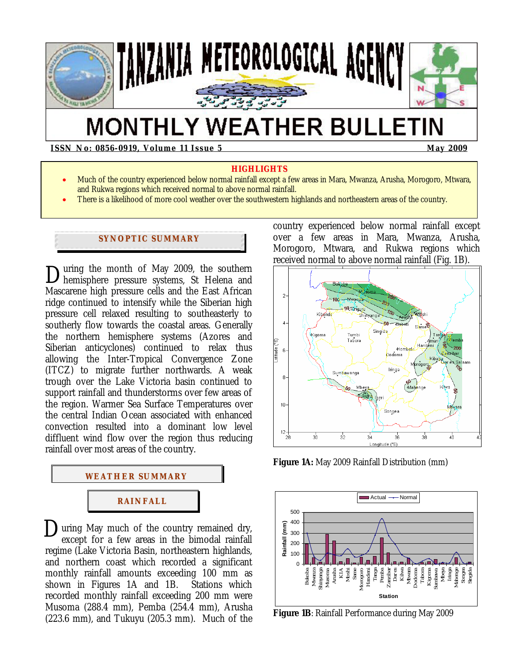

# **MONTHLY WEATHER BULLETIN**

**ISSN No: 0856-0919, Volume 11 Issue 5 May 2009**  May 2009

#### **HIGHLIGHTS**

- Much of the country experienced below normal rainfall except a few areas in Mara, Mwanza, Arusha, Morogoro, Mtwara, and Rukwa regions which received normal to above normal rainfall.
- There is a likelihood of more cool weather over the southwestern highlands and northeastern areas of the country.

# **SYNOPTIC SUMMARY**

uring the month of May 2009, the southern During the month of May 2009, the southern<br>hemisphere pressure systems, St Helena and Mascarene high pressure cells and the East African ridge continued to intensify while the Siberian high pressure cell relaxed resulting to southeasterly to southerly flow towards the coastal areas. Generally the northern hemisphere systems (Azores and Siberian anticyclones) continued to relax thus allowing the Inter-Tropical Convergence Zone (ITCZ) to migrate further northwards. A weak trough over the Lake Victoria basin continued to support rainfall and thunderstorms over few areas of the region. Warmer Sea Surface Temperatures over the central Indian Ocean associated with enhanced convection resulted into a dominant low level diffluent wind flow over the region thus reducing rainfall over most areas of the country.



During May much of the country remained dry,<br>except for a few areas in the bimodal rainfall except for a few areas in the bimodal rainfall regime (Lake Victoria Basin, northeastern highlands, and northern coast which recorded a significant monthly rainfall amounts exceeding 100 mm as<br>shown in Figures 1A and 1B. Stations which shown in Figures  $1A$  and  $1B$ . recorded monthly rainfall exceeding 200 mm were Musoma (288.4 mm), Pemba (254.4 mm), Arusha (223.6 mm), and Tukuyu (205.3 mm). Much of the

country experienced below normal rainfall except over a few areas in Mara, Mwanza, Arusha, Morogoro, Mtwara, and Rukwa regions which received normal to above normal rainfall (Fig. 1B).



**Figure 1A:** May 2009 Rainfall Distribution (mm)



**Figure 1B**: Rainfall Performance during May 2009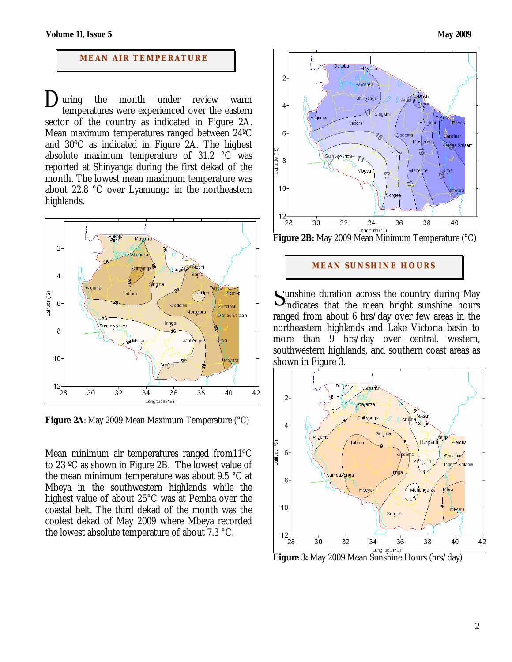#### **MEAN AIR TEMPERATURE**

the month under review warm temperatures were experienced over the eastern sector of the country as indicated in Figure 2A. Mean maximum temperatures ranged between 24ºC and 30ºC as indicated in Figure 2A. The highest absolute maximum temperature of 31.2 °C was reported at Shinyanga during the first dekad of the month. The lowest mean maximum temperature was about 22.8 °C over Lyamungo in the northeastern highlands. uring



**Figure 2A**: May 2009 Mean Maximum Temperature (°C)

Mean minimum air temperatures ranged from11ºC to 23 ºC as shown in Figure 2B. The lowest value of the mean minimum temperature was about 9.5 °C at Mbeya in the southwestern highlands while the highest value of about 25°C was at Pemba over the coastal belt. The third dekad of the month was the coolest dekad of May 2009 where Mbeya recorded the lowest absolute temperature of about 7.3 °C.



# **MEAN SUNSHINE HOURS**

unshine duration across the country during May Sunshine duration across the country during May<br>
indicates that the mean bright sunshine hours ranged from about 6 hrs/day over few areas in the northeastern highlands and Lake Victoria basin to more than 9 hrs/day over central, western, southwestern highlands, and southern coast areas as shown in Figure 3.



**Figure 3:** May 2009 Mean Sunshine Hours (hrs/day)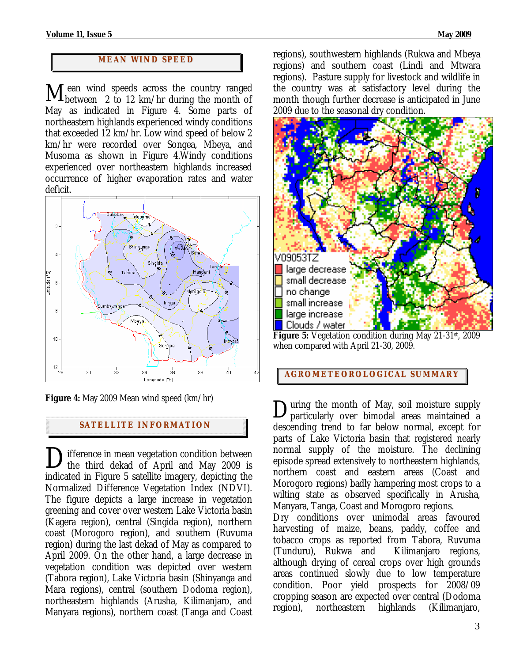### **MEAN WI ND SPEED**

I ean wind speeds across the country ranged  $M$  ean wind speeds across the country ranged between 2 to 12 km/hr during the month of May as indicated in Figure 4. Some parts of northeastern highlands experienced windy conditions that exceeded 12 km/hr. Low wind speed of below 2 km/hr were recorded over Songea, Mbeya, and Musoma as shown in Figure 4.Windy conditions experienced over northeastern highlands increased occurrence of higher evaporation rates and water deficit*.*



**Figure 4:** May 2009 Mean wind speed (km/hr)

## **SATELLITE I NFORMATION**

Difference in mean vegetation condition between<br>the third dekad of April and May 2009 is the third dekad of April and May 2009 is indicated in Figure 5 satellite imagery, depicting the Normalized Difference Vegetation Index (NDVI). The figure depicts a large increase in vegetation greening and cover over western Lake Victoria basin (Kagera region), central (Singida region), northern coast (Morogoro region), and southern (Ruvuma region) during the last dekad of May as compared to April 2009. On the other hand, a large decrease in vegetation condition was depicted over western (Tabora region), Lake Victoria basin (Shinyanga and Mara regions), central (southern Dodoma region), northeastern highlands (Arusha, Kilimanjaro, and Manyara regions), northern coast (Tanga and Coast

regions), southwestern highlands (Rukwa and Mbeya regions) and southern coast (Lindi and Mtwara regions). Pasture supply for livestock and wildlife in the country was at satisfactory level during the month though further decrease is anticipated in June 2009 due to the seasonal dry condition.



**Figure 5:** Vegetation condition during May 21-31st, 2009 when compared with April 21-30, 2009.

#### **AGROMETEOROLOGICAL SUMMARY**

During the month of May, soil moisture supply<br>particularly over bimodal areas maintained a particularly over bimodal areas maintained a descending trend to far below normal, except for parts of Lake Victoria basin that registered nearly normal supply of the moisture. The declining episode spread extensively to northeastern highlands, northern coast and eastern areas (Coast and Morogoro regions) badly hampering most crops to a wilting state as observed specifically in Arusha, Manyara, Tanga, Coast and Morogoro regions.

Dry conditions over unimodal areas favoured harvesting of maize, beans, paddy, coffee and tobacco crops as reported from Tabora, Ruvuma (Tunduru), Rukwa and Kilimanjaro regions, although drying of cereal crops over high grounds areas continued slowly due to low temperature condition. Poor yield prospects for 2008/09 cropping season are expected over central (Dodoma region), northeastern highlands (Kilimanjaro,